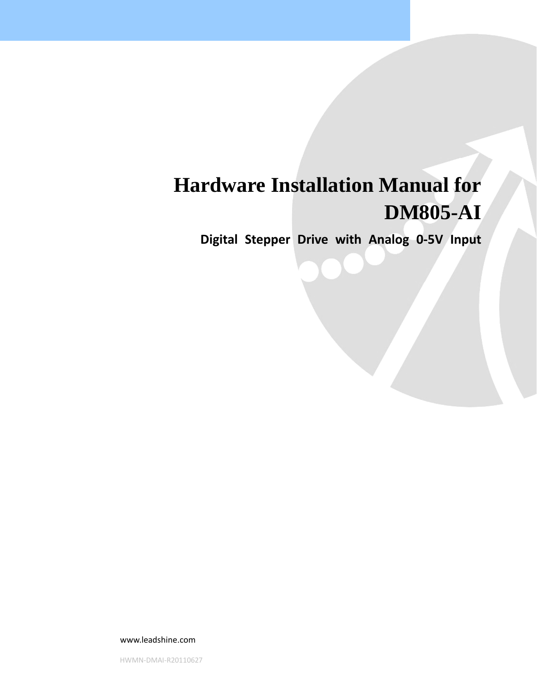# **Hardware Installation Manual for DM805-AI**

**Digital Stepper Drive with Analog 0‐5V Input**

www.leadshine.com

HWMN‐DMAI‐R20110627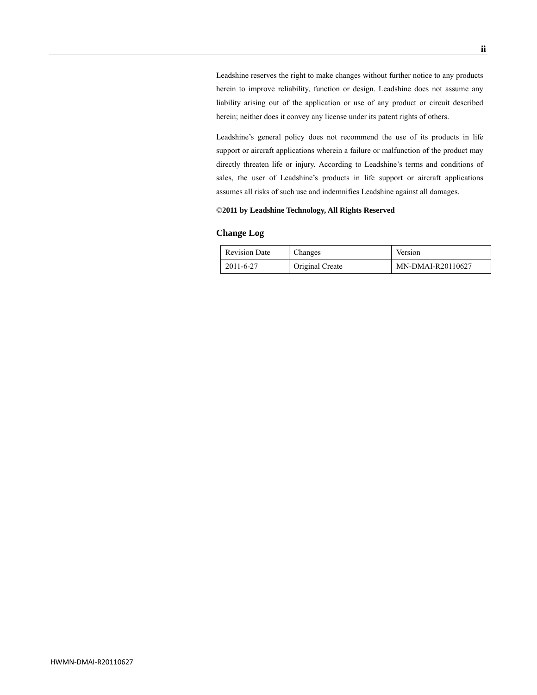Leadshine reserves the right to make changes without further notice to any products herein to improve reliability, function or design. Leadshine does not assume any liability arising out of the application or use of any product or circuit described herein; neither does it convey any license under its patent rights of others.

Leadshine's general policy does not recommend the use of its products in life support or aircraft applications wherein a failure or malfunction of the product may directly threaten life or injury. According to Leadshine's terms and conditions of sales, the user of Leadshine's products in life support or aircraft applications assumes all risks of such use and indemnifies Leadshine against all damages.

#### ©**2011 by Leadshine Technology, All Rights Reserved**

#### **Change Log**

| <b>Revision Date</b> | Changes                | Version           |
|----------------------|------------------------|-------------------|
| 2011-6-27            | <b>Original Create</b> | MN-DMAI-R20110627 |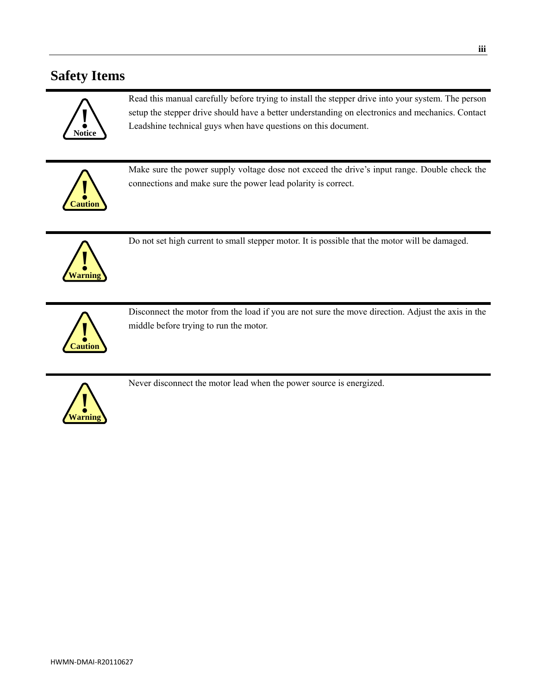### **Safety Items**



Read this manual carefully before trying to install the stepper drive into your system. The person setup the stepper drive should have a better understanding on electronics and mechanics. Contact Leadshine technical guys when have questions on this document.



Make sure the power supply voltage dose not exceed the drive's input range. Double check the connections and make sure the power lead polarity is correct.



Do not set high current to small stepper motor. It is possible that the motor will be damaged.



Disconnect the motor from the load if you are not sure the move direction. Adjust the axis in the middle before trying to run the motor.



Never disconnect the motor lead when the power source is energized.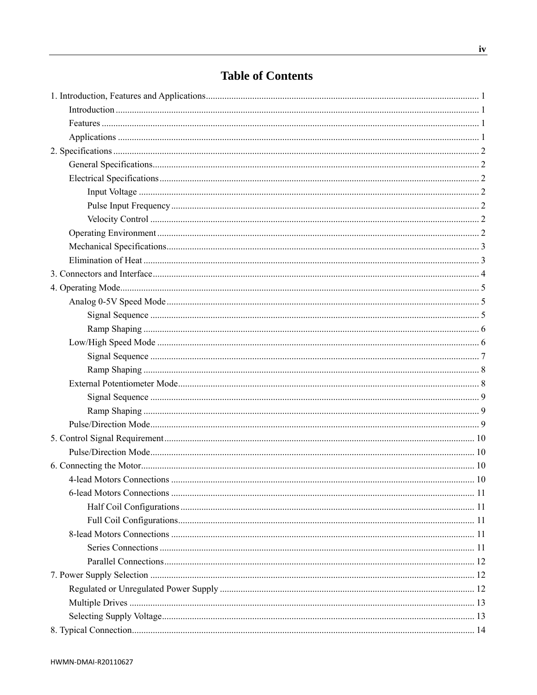### **Table of Contents**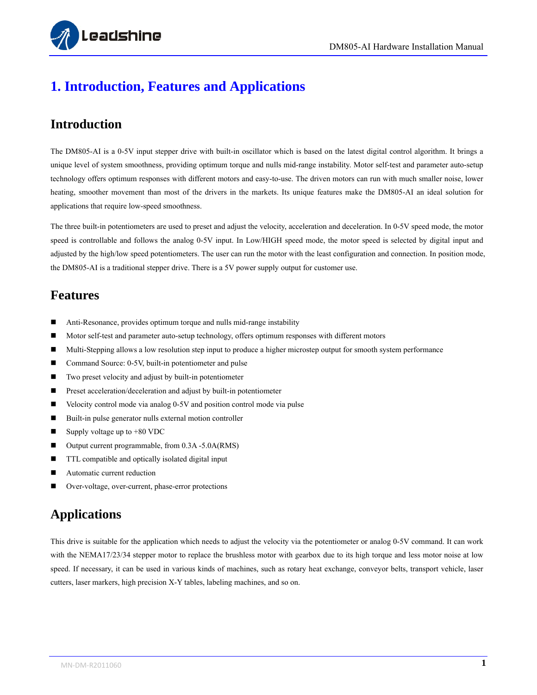

# <span id="page-5-0"></span>**1. Introduction, Features and Applications**

#### <span id="page-5-1"></span>**Introduction**

The DM805-AI is a 0-5V input stepper drive with built-in oscillator which is based on the latest digital control algorithm. It brings a unique level of system smoothness, providing optimum torque and nulls mid-range instability. Motor self-test and parameter auto-setup technology offers optimum responses with different motors and easy-to-use. The driven motors can run with much smaller noise, lower heating, smoother movement than most of the drivers in the markets. Its unique features make the DM805-AI an ideal solution for applications that require low-speed smoothness.

The three built-in potentiometers are used to preset and adjust the velocity, acceleration and deceleration. In 0-5V speed mode, the motor speed is controllable and follows the analog 0-5V input. In Low/HIGH speed mode, the motor speed is selected by digital input and adjusted by the high/low speed potentiometers. The user can run the motor with the least configuration and connection. In position mode, the DM805-AI is a traditional stepper drive. There is a 5V power supply output for customer use.

#### <span id="page-5-2"></span>**Features**

- Anti-Resonance, provides optimum torque and nulls mid-range instability
- Motor self-test and parameter auto-setup technology, offers optimum responses with different motors
- Multi-Stepping allows a low resolution step input to produce a higher microstep output for smooth system performance
- Command Source: 0-5V, built-in potentiometer and pulse
- Two preset velocity and adjust by built-in potentiometer
- **Preset acceleration/deceleration and adjust by built-in potentiometer**
- Velocity control mode via analog 0-5V and position control mode via pulse
- Built-in pulse generator nulls external motion controller
- $\blacksquare$  Supply voltage up to +80 VDC
- Output current programmable, from 0.3A -5.0A(RMS)
- **TTL compatible and optically isolated digital input**
- Automatic current reduction
- Over-voltage, over-current, phase-error protections

#### <span id="page-5-3"></span>**Applications**

This drive is suitable for the application which needs to adjust the velocity via the potentiometer or analog 0-5V command. It can work with the NEMA17/23/34 stepper motor to replace the brushless motor with gearbox due to its high torque and less motor noise at low speed. If necessary, it can be used in various kinds of machines, such as rotary heat exchange, conveyor belts, transport vehicle, laser cutters, laser markers, high precision X-Y tables, labeling machines, and so on.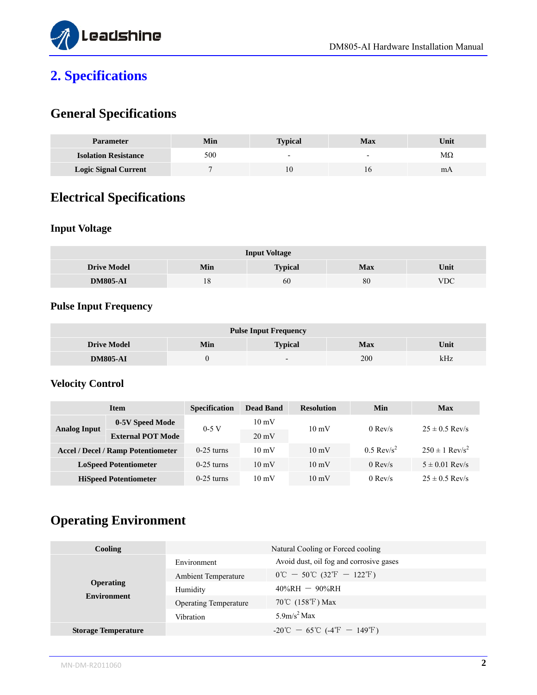

# <span id="page-6-0"></span>**2. Specifications**

## <span id="page-6-1"></span>**General Specifications**

| <b>Parameter</b>            | Min | <b>Typical</b> | <b>Max</b>               | Unit      |
|-----------------------------|-----|----------------|--------------------------|-----------|
| <b>Isolation Resistance</b> | 500 | ۰              | $\overline{\phantom{0}}$ | $M\Omega$ |
| <b>Logic Signal Current</b> |     |                |                          | mΑ        |

## <span id="page-6-2"></span>**Electrical Specifications**

#### <span id="page-6-3"></span>**Input Voltage**

| <b>Input Voltage</b> |     |                |            |            |  |  |
|----------------------|-----|----------------|------------|------------|--|--|
| <b>Drive Model</b>   | Min | <b>Typical</b> | <b>Max</b> | Unit       |  |  |
| <b>DM805-AI</b>      | 18  | 60             | 80         | <b>VDC</b> |  |  |

## <span id="page-6-4"></span>**Pulse Input Frequency**

| <b>Pulse Input Frequency</b> |     |                          |            |      |  |  |
|------------------------------|-----|--------------------------|------------|------|--|--|
| <b>Drive Model</b>           | Min | <b>Typical</b>           | <b>Max</b> | Unit |  |  |
| <b>DM805-AI</b>              |     | $\overline{\phantom{0}}$ | 200        | kHz  |  |  |

#### <span id="page-6-5"></span>**Velocity Control**

| <b>Item</b>                               |                          | <b>Specification</b> | <b>Dead Band</b> | <b>Resolution</b> | <b>Min</b>               | Max                            |
|-------------------------------------------|--------------------------|----------------------|------------------|-------------------|--------------------------|--------------------------------|
|                                           | 0-5V Speed Mode          | $0-5$ V              | $10 \text{ mV}$  | $10 \text{ mV}$   | $0$ Rev/s                | $25 \pm 0.5$ Rev/s             |
| <b>Analog Input</b>                       | <b>External POT Mode</b> |                      | $20 \text{ mV}$  |                   |                          |                                |
| <b>Accel / Decel / Ramp Potentiometer</b> |                          | $0-25$ turns         | $10 \text{ mV}$  | $10 \text{ mV}$   | $0.5$ Rev/s <sup>2</sup> | $250 \pm 1$ Rev/s <sup>2</sup> |
| <b>LoSpeed Potentiometer</b>              |                          | $0-25$ turns         | $10 \text{ mV}$  | $10 \text{ mV}$   | $0$ Rev/s                | $5 \pm 0.01$ Rev/s             |
| <b>HiSpeed Potentiometer</b>              |                          | $0-25$ turns         | $10 \text{ mV}$  | $10 \text{ mV}$   | $0$ Rev/s                | $25 \pm 0.5$ Rev/s             |

## <span id="page-6-6"></span>**Operating Environment**

| <b>Cooling</b>             | Natural Cooling or Forced cooling |                                                                                     |  |
|----------------------------|-----------------------------------|-------------------------------------------------------------------------------------|--|
|                            | Environment                       | Avoid dust, oil fog and corrosive gases                                             |  |
|                            | <b>Ambient Temperature</b>        | $0^{\circ}\text{C} - 50^{\circ}\text{C} (32^{\circ}\text{F} - 122^{\circ}\text{F})$ |  |
| <b>Operating</b>           | Humidity                          | $40\%RH - 90\%RH$                                                                   |  |
| <b>Environment</b>         | <b>Operating Temperature</b>      | 70°C (158°F) Max                                                                    |  |
|                            | Vibration                         | $5.9 \text{m/s}^2 \text{Max}$                                                       |  |
| <b>Storage Temperature</b> |                                   | $-20^{\circ}\text{C} - 65^{\circ}\text{C}$ (-4 <sup>°</sup> F - 149 <sup>°</sup> F) |  |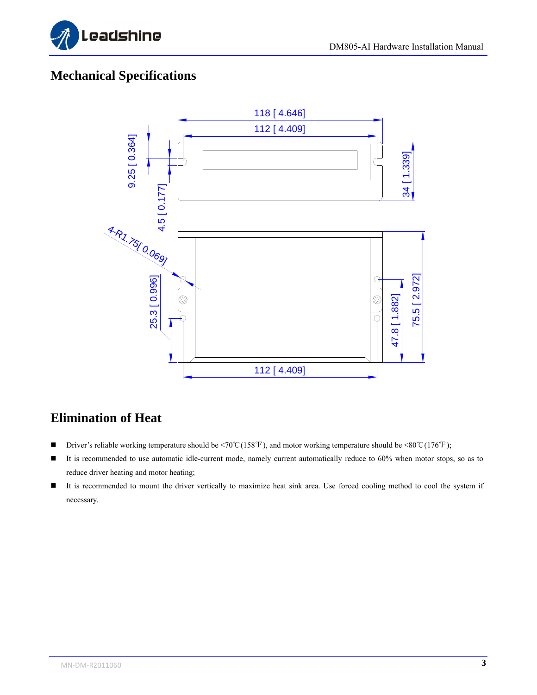

### <span id="page-7-0"></span>**Mechanical Specifications**



### <span id="page-7-1"></span>**Elimination of Heat**

- Driver's reliable working temperature should be <70℃(158°F), and motor working temperature should be <80℃(176°F);
- It is recommended to use automatic idle-current mode, namely current automatically reduce to 60% when motor stops, so as to reduce driver heating and motor heating;
- It is recommended to mount the driver vertically to maximize heat sink area. Use forced cooling method to cool the system if necessary.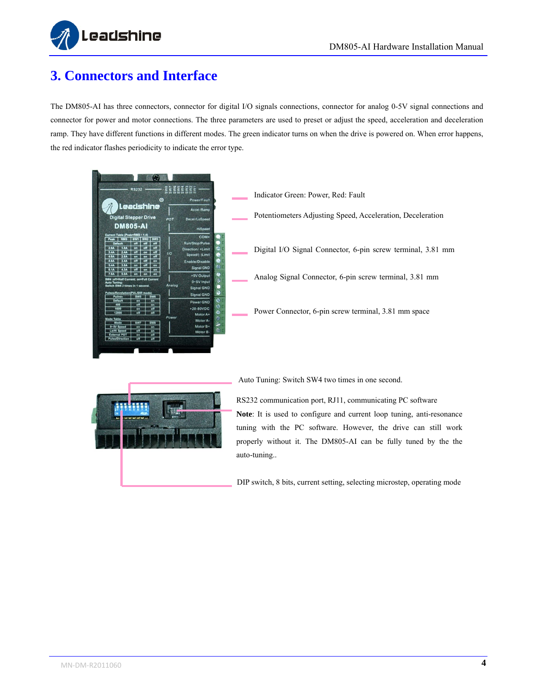

### <span id="page-8-0"></span>**3. Connectors and Interface**

The DM805-AI has three connectors, connector for digital I/O signals connections, connector for analog 0-5V signal connections and connector for power and motor connections. The three parameters are used to preset or adjust the speed, acceleration and deceleration ramp. They have different functions in different modes. The green indicator turns on when the drive is powered on. When error happens, the red indicator flashes periodicity to indicate the error type.



Indicator Green: Power, Red: Fault Potentiometers Adjusting Speed, Acceleration, Deceleration Digital I/O Signal Connector, 6-pin screw terminal, 3.81 mm Analog Signal Connector, 6-pin screw terminal, 3.81 mm Power Connector, 6-pin screw terminal, 3.81 mm space



Auto Tuning: Switch SW4 two times in one second.

RS232 communication port, RJ11, communicating PC software **Note**: It is used to configure and current loop tuning, anti-resonance tuning with the PC software. However, the drive can still work properly without it. The DM805-AI can be fully tuned by the the auto-tuning..

DIP switch, 8 bits, current setting, selecting microstep, operating mode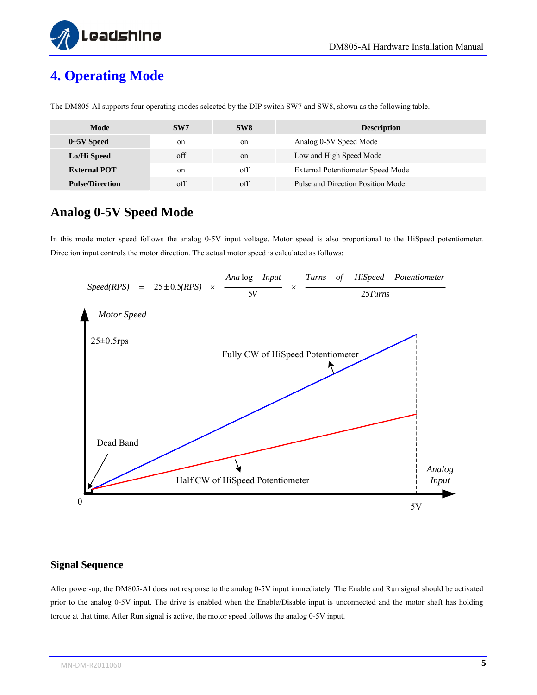



# <span id="page-9-0"></span>**4. Operating Mode**

| Mode                                                                                                                                                                                                                                                                                                                                                                                                                                                                                                                           | SW7         | SW <sub>8</sub> | <b>Description</b>                |
|--------------------------------------------------------------------------------------------------------------------------------------------------------------------------------------------------------------------------------------------------------------------------------------------------------------------------------------------------------------------------------------------------------------------------------------------------------------------------------------------------------------------------------|-------------|-----------------|-----------------------------------|
| $0\negthinspace\negthinspace\negthinspace$ $\negthinspace$ $\negthinspace$ $\negthinspace$ $\negthinspace$ $\negthinspace$ $\negthinspace$ $\negthinspace$ $\negthinspace$ $\negthinspace$ $\negthinspace$ $\negthinspace$ $\negthinspace$ $\negthinspace$ $\negthinspace$ $\negthinspace$ $\negthinspace$ $\negthinspace$ $\negthinspace$ $\negthinspace$ $\negthinspace$ $\negthinspace$ $\negthinspace$ $\negthinspace$ $\negthinspace$ $\negthinspace$ $\negthinspace$ $\negthinspace$ $\negthinspace$ $\negthinspace$ $\$ | on          | on              | Analog 0-5V Speed Mode            |
| Lo/Hi Speed                                                                                                                                                                                                                                                                                                                                                                                                                                                                                                                    | off         | on              | Low and High Speed Mode           |
| <b>External POT</b>                                                                                                                                                                                                                                                                                                                                                                                                                                                                                                            | on          | off             | External Potentiometer Speed Mode |
| <b>Pulse/Direction</b>                                                                                                                                                                                                                                                                                                                                                                                                                                                                                                         | $\alpha$ ff | $\alpha$ ff     | Pulse and Direction Position Mode |

The DM805-AI supports four operating modes selected by the DIP switch SW7 and SW8, shown as the following table.

#### <span id="page-9-1"></span>**Analog 0-5V Speed Mode**

In this mode motor speed follows the analog 0-5V input voltage. Motor speed is also proportional to the HiSpeed potentiometer. Direction input controls the motor direction. The actual motor speed is calculated as follows:



#### <span id="page-9-2"></span>**Signal Sequence**

After power-up, the DM805-AI does not response to the analog 0-5V input immediately. The Enable and Run signal should be activated prior to the analog 0-5V input. The drive is enabled when the Enable/Disable input is unconnected and the motor shaft has holding torque at that time. After Run signal is active, the motor speed follows the analog 0-5V input.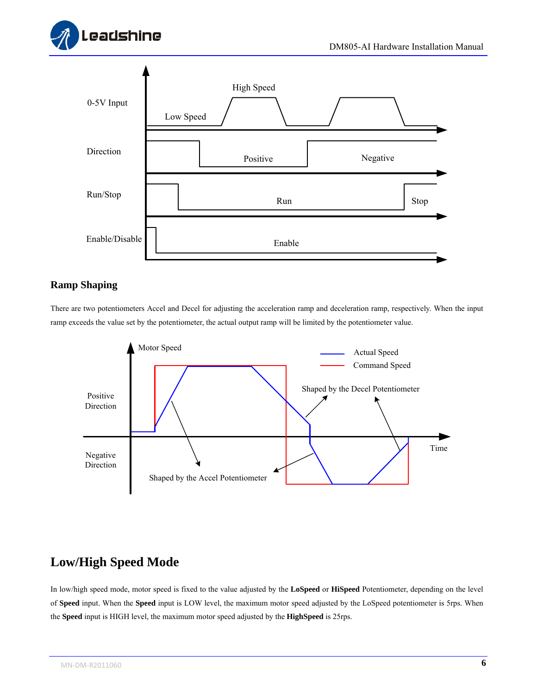



#### <span id="page-10-0"></span>**Ramp Shaping**

There are two potentiometers Accel and Decel for adjusting the acceleration ramp and deceleration ramp, respectively. When the input ramp exceeds the value set by the potentiometer, the actual output ramp will be limited by the potentiometer value.



### <span id="page-10-1"></span>**Low/High Speed Mode**

In low/high speed mode, motor speed is fixed to the value adjusted by the **LoSpeed** or **HiSpeed** Potentiometer, depending on the level of **Speed** input. When the **Speed** input is LOW level, the maximum motor speed adjusted by the LoSpeed potentiometer is 5rps. When the **Speed** input is HIGH level, the maximum motor speed adjusted by the **HighSpeed** is 25rps.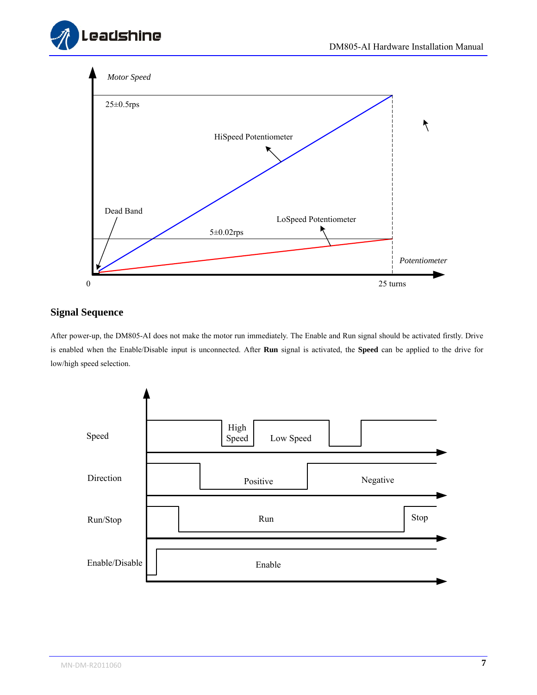



#### <span id="page-11-0"></span>**Signal Sequence**

After power-up, the DM805-AI does not make the motor run immediately. The Enable and Run signal should be activated firstly. Drive is enabled when the Enable/Disable input is unconnected. After **Run** signal is activated, the **Speed** can be applied to the drive for low/high speed selection.

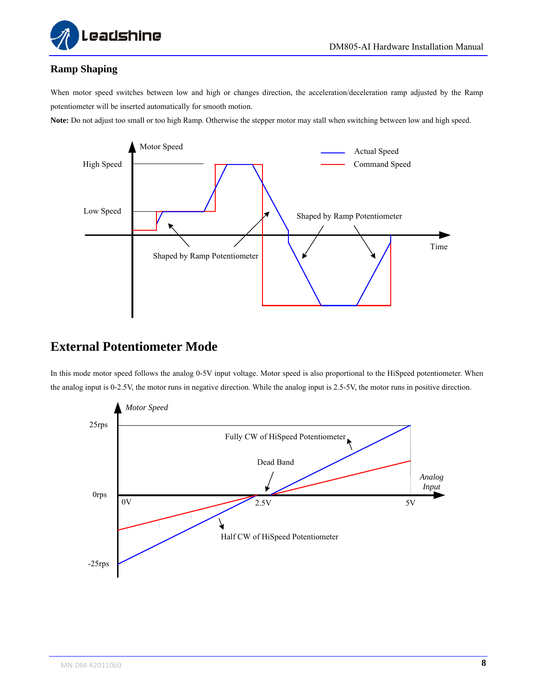

#### <span id="page-12-0"></span>**Ramp Shaping**

When motor speed switches between low and high or changes direction, the acceleration/deceleration ramp adjusted by the Ramp potentiometer will be inserted automatically for smooth motion.

**Note:** Do not adjust too small or too high Ramp. Otherwise the stepper motor may stall when switching between low and high speed.



#### <span id="page-12-1"></span>**External Potentiometer Mode**

In this mode motor speed follows the analog 0-5V input voltage. Motor speed is also proportional to the HiSpeed potentiometer. When the analog input is 0-2.5V, the motor runs in negative direction. While the analog input is 2.5-5V, the motor runs in positive direction.

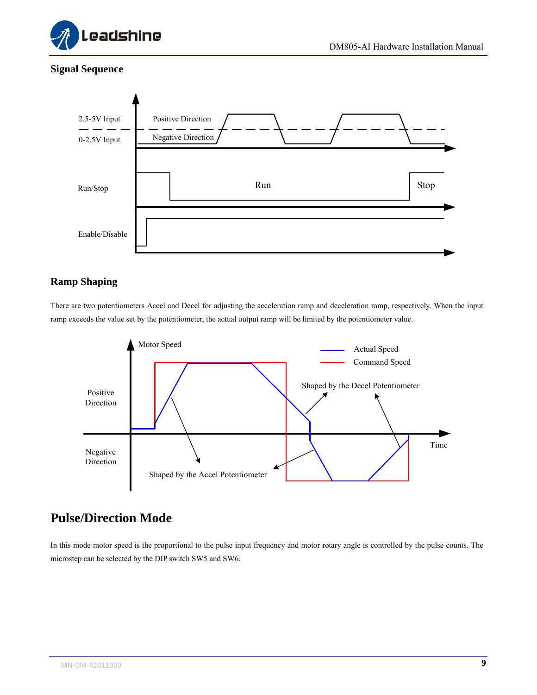

#### <span id="page-13-0"></span>**Signal Sequence**



#### <span id="page-13-1"></span>**Ramp Shaping**

There are two potentiometers Accel and Decel for adjusting the acceleration ramp and deceleration ramp, respectively. When the input ramp exceeds the value set by the potentiometer, the actual output ramp will be limited by the potentiometer value.



### <span id="page-13-2"></span>**Pulse/Direction Mode**

In this mode motor speed is the proportional to the pulse input frequency and motor rotary angle is controlled by the pulse counts. The microstep can be selected by the DIP switch SW5 and SW6.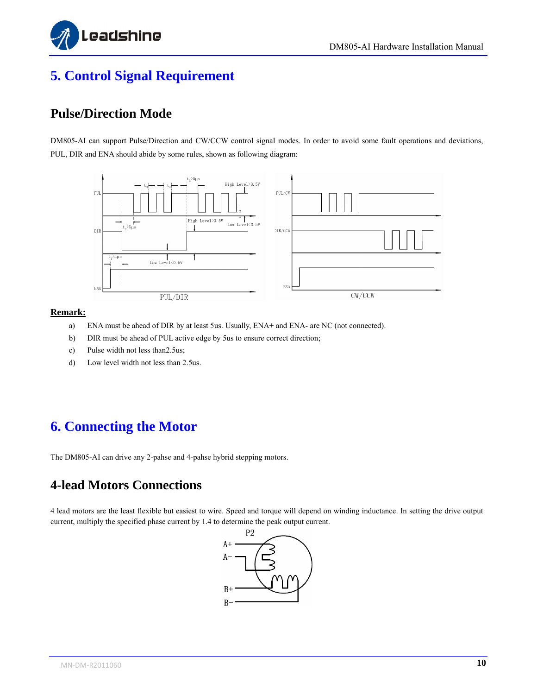

## <span id="page-14-0"></span>**5. Control Signal Requirement**

#### <span id="page-14-1"></span>**Pulse/Direction Mode**

DM805-AI can support Pulse/Direction and CW/CCW control signal modes. In order to avoid some fault operations and deviations, PUL, DIR and ENA should abide by some rules, shown as following diagram:



#### **Remark:**

- a) ENA must be ahead of DIR by at least 5us. Usually, ENA+ and ENA- are NC (not connected).
- b) DIR must be ahead of PUL active edge by 5us to ensure correct direction;
- c) Pulse width not less than2.5us;
- d) Low level width not less than 2.5us.

### <span id="page-14-2"></span>**6. Connecting the Motor**

The DM805-AI can drive any 2-pahse and 4-pahse hybrid stepping motors.

#### <span id="page-14-3"></span>**4-lead Motors Connections**

4 lead motors are the least flexible but easiest to wire. Speed and torque will depend on winding inductance. In setting the drive output current, multiply the specified phase current by 1.4 to determine the peak output current.

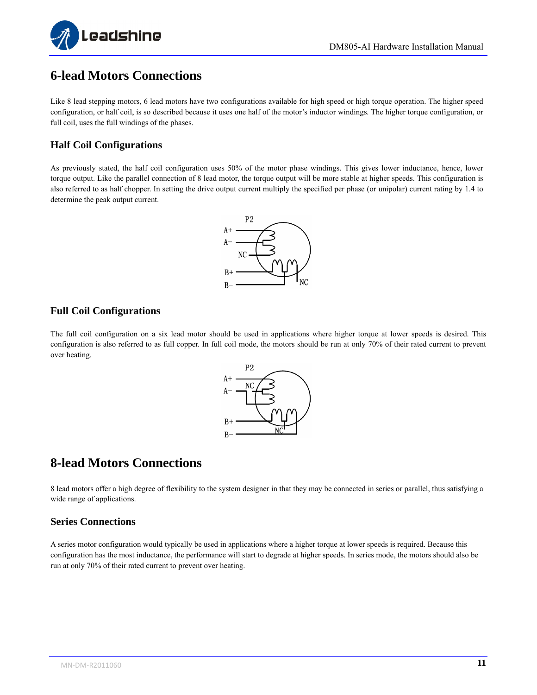

#### <span id="page-15-0"></span>**6-lead Motors Connections**

Like 8 lead stepping motors, 6 lead motors have two configurations available for high speed or high torque operation. The higher speed configuration, or half coil, is so described because it uses one half of the motor's inductor windings. The higher torque configuration, or full coil, uses the full windings of the phases.

#### <span id="page-15-1"></span>**Half Coil Configurations**

As previously stated, the half coil configuration uses 50% of the motor phase windings. This gives lower inductance, hence, lower torque output. Like the parallel connection of 8 lead motor, the torque output will be more stable at higher speeds. This configuration is also referred to as half chopper. In setting the drive output current multiply the specified per phase (or unipolar) current rating by 1.4 to determine the peak output current.



#### <span id="page-15-2"></span>**Full Coil Configurations**

The full coil configuration on a six lead motor should be used in applications where higher torque at lower speeds is desired. This configuration is also referred to as full copper. In full coil mode, the motors should be run at only 70% of their rated current to prevent over heating.



#### <span id="page-15-3"></span>**8-lead Motors Connections**

8 lead motors offer a high degree of flexibility to the system designer in that they may be connected in series or parallel, thus satisfying a wide range of applications.

#### <span id="page-15-4"></span>**Series Connections**

A series motor configuration would typically be used in applications where a higher torque at lower speeds is required. Because this configuration has the most inductance, the performance will start to degrade at higher speeds. In series mode, the motors should also be run at only 70% of their rated current to prevent over heating.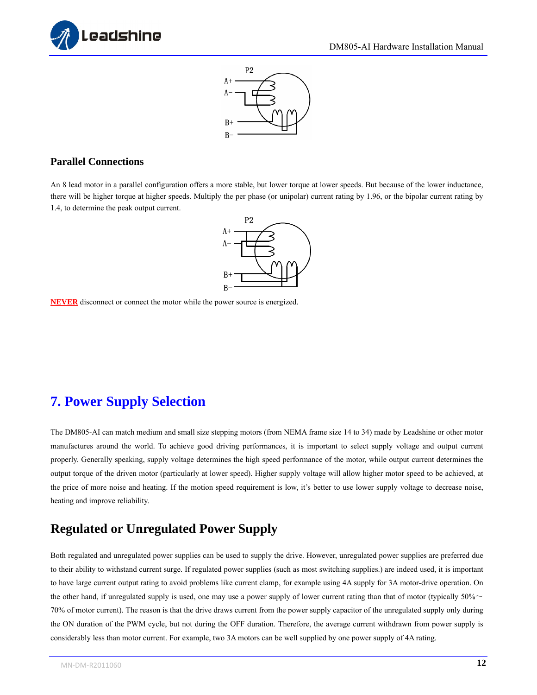



#### <span id="page-16-0"></span>**Parallel Connections**

An 8 lead motor in a parallel configuration offers a more stable, but lower torque at lower speeds. But because of the lower inductance, there will be higher torque at higher speeds. Multiply the per phase (or unipolar) current rating by 1.96, or the bipolar current rating by 1.4, to determine the peak output current.



**NEVER** disconnect or connect the motor while the power source is energized.

### <span id="page-16-1"></span>**7. Power Supply Selection**

The DM805-AI can match medium and small size stepping motors (from NEMA frame size 14 to 34) made by Leadshine or other motor manufactures around the world. To achieve good driving performances, it is important to select supply voltage and output current properly. Generally speaking, supply voltage determines the high speed performance of the motor, while output current determines the output torque of the driven motor (particularly at lower speed). Higher supply voltage will allow higher motor speed to be achieved, at the price of more noise and heating. If the motion speed requirement is low, it's better to use lower supply voltage to decrease noise, heating and improve reliability.

#### <span id="page-16-2"></span>**Regulated or Unregulated Power Supply**

Both regulated and unregulated power supplies can be used to supply the drive. However, unregulated power supplies are preferred due to their ability to withstand current surge. If regulated power supplies (such as most switching supplies.) are indeed used, it is important to have large current output rating to avoid problems like current clamp, for example using 4A supply for 3A motor-drive operation. On the other hand, if unregulated supply is used, one may use a power supply of lower current rating than that of motor (typically  $50\%$   $\sim$ 70% of motor current). The reason is that the drive draws current from the power supply capacitor of the unregulated supply only during the ON duration of the PWM cycle, but not during the OFF duration. Therefore, the average current withdrawn from power supply is considerably less than motor current. For example, two 3A motors can be well supplied by one power supply of 4A rating.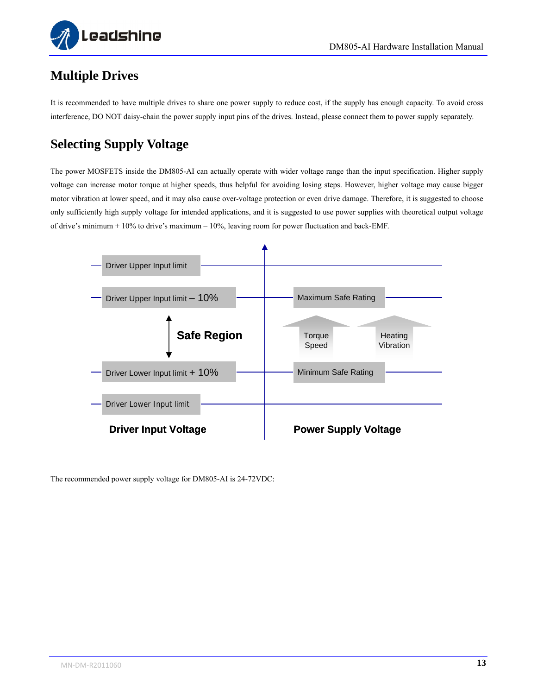

### <span id="page-17-0"></span>**Multiple Drives**

It is recommended to have multiple drives to share one power supply to reduce cost, if the supply has enough capacity. To avoid cross interference, DO NOT daisy-chain the power supply input pins of the drives. Instead, please connect them to power supply separately.

# <span id="page-17-1"></span>**Selecting Supply Voltage**

The power MOSFETS inside the DM805-AI can actually operate with wider voltage range than the input specification. Higher supply voltage can increase motor torque at higher speeds, thus helpful for avoiding losing steps. However, higher voltage may cause bigger motor vibration at lower speed, and it may also cause over-voltage protection or even drive damage. Therefore, it is suggested to choose only sufficiently high supply voltage for intended applications, and it is suggested to use power supplies with theoretical output voltage of drive's minimum + 10% to drive's maximum – 10%, leaving room for power fluctuation and back-EMF.



The recommended power supply voltage for DM805-AI is 24-72VDC: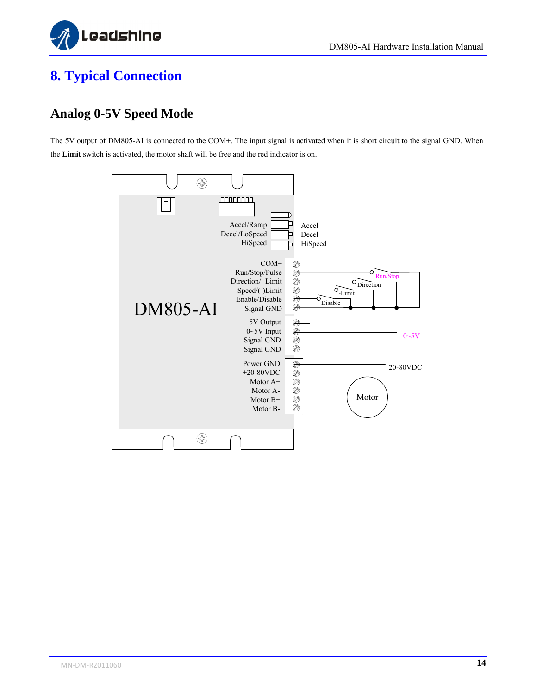

### <span id="page-18-0"></span>**8. Typical Connection**

### <span id="page-18-1"></span>**Analog 0-5V Speed Mode**

The 5V output of DM805-AI is connected to the COM+. The input signal is activated when it is short circuit to the signal GND. When the **Limit** switch is activated, the motor shaft will be free and the red indicator is on.

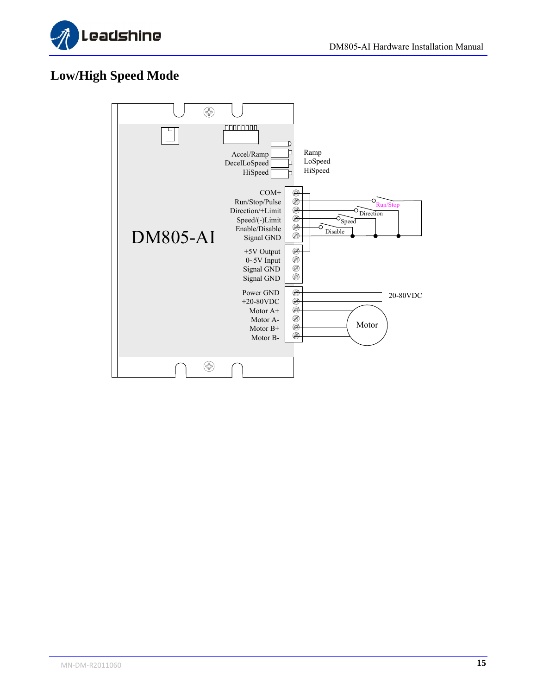

### <span id="page-19-0"></span>**Low/High Speed Mode**

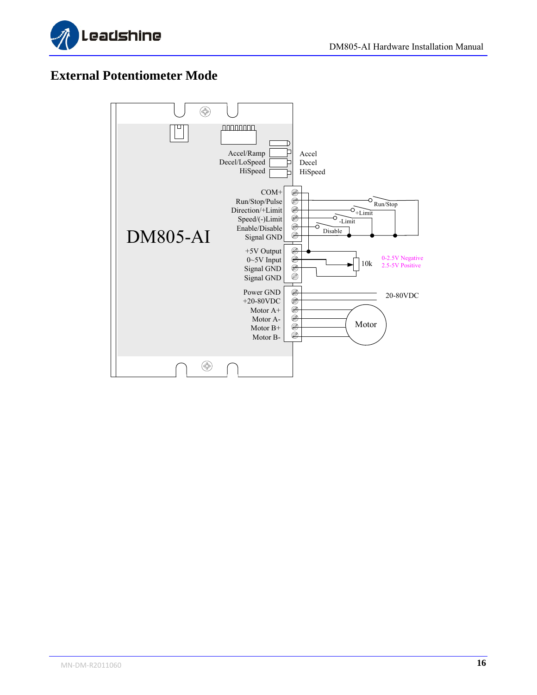



#### <span id="page-20-0"></span>**External Potentiometer Mode**

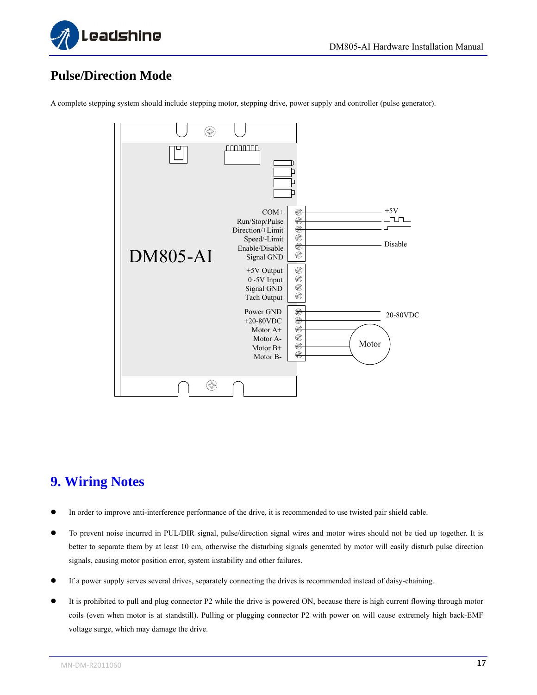

### <span id="page-21-0"></span>**Pulse/Direction Mode**



A complete stepping system should include stepping motor, stepping drive, power supply and controller (pulse generator).

### <span id="page-21-1"></span>**9. Wiring Notes**

- In order to improve anti-interference performance of the drive, it is recommended to use twisted pair shield cable.
- To prevent noise incurred in PUL/DIR signal, pulse/direction signal wires and motor wires should not be tied up together. It is better to separate them by at least 10 cm, otherwise the disturbing signals generated by motor will easily disturb pulse direction signals, causing motor position error, system instability and other failures.
- If a power supply serves several drives, separately connecting the drives is recommended instead of daisy-chaining.
- It is prohibited to pull and plug connector P2 while the drive is powered ON, because there is high current flowing through motor coils (even when motor is at standstill). Pulling or plugging connector P2 with power on will cause extremely high back-EMF voltage surge, which may damage the drive.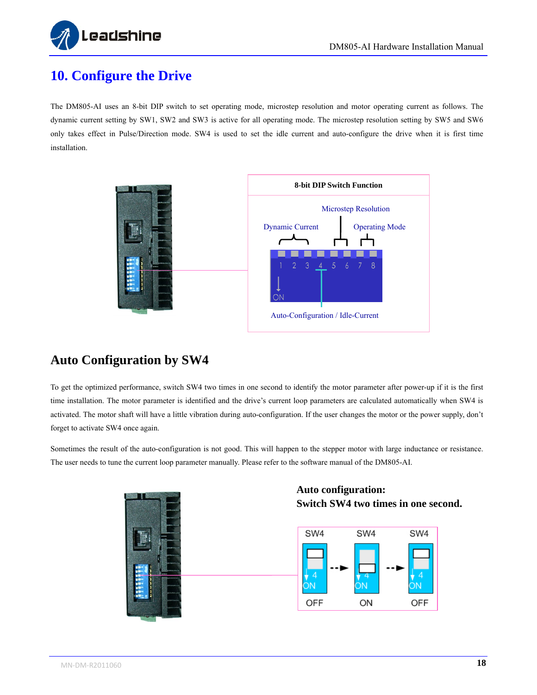

## <span id="page-22-0"></span>**10. Configure the Drive**

The DM805-AI uses an 8-bit DIP switch to set operating mode, microstep resolution and motor operating current as follows. The dynamic current setting by SW1, SW2 and SW3 is active for all operating mode. The microstep resolution setting by SW5 and SW6 only takes effect in Pulse/Direction mode. SW4 is used to set the idle current and auto-configure the drive when it is first time installation.



#### <span id="page-22-1"></span>**Auto Configuration by SW4**

To get the optimized performance, switch SW4 two times in one second to identify the motor parameter after power-up if it is the first time installation. The motor parameter is identified and the drive's current loop parameters are calculated automatically when SW4 is activated. The motor shaft will have a little vibration during auto-configuration. If the user changes the motor or the power supply, don't forget to activate SW4 once again.

Sometimes the result of the auto-configuration is not good. This will happen to the stepper motor with large inductance or resistance. The user needs to tune the current loop parameter manually. Please refer to the software manual of the DM805-AI.



#### **Auto configuration: Switch SW4 two times in one second.**

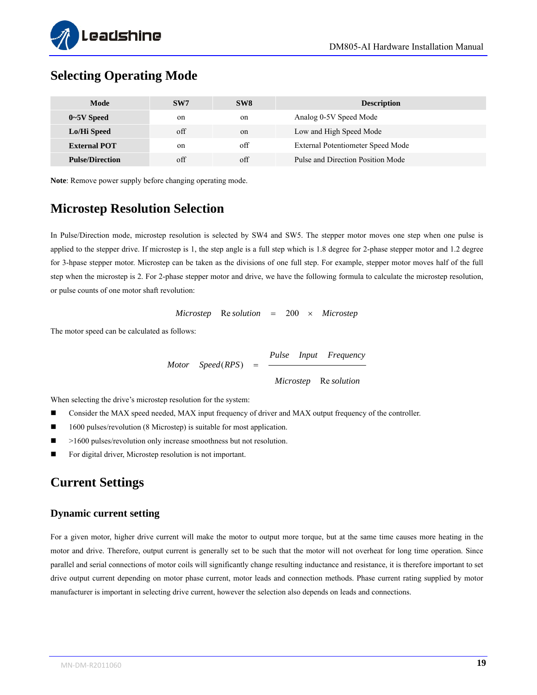

#### <span id="page-23-0"></span>**Selecting Operating Mode**

| Mode                   | SW <sub>7</sub> | SW <sub>8</sub> | <b>Description</b>                |
|------------------------|-----------------|-----------------|-----------------------------------|
| $0\neg 5V$ Speed       | on              | on              | Analog 0-5V Speed Mode            |
| Lo/Hi Speed            | $\alpha$ ff     | $_{\rm on}$     | Low and High Speed Mode           |
| <b>External POT</b>    | on              | off             | External Potentiometer Speed Mode |
| <b>Pulse/Direction</b> | off             | $\alpha$ ff     | Pulse and Direction Position Mode |

**Note**: Remove power supply before changing operating mode.

#### <span id="page-23-1"></span>**Microstep Resolution Selection**

In Pulse/Direction mode, microstep resolution is selected by SW4 and SW5. The stepper motor moves one step when one pulse is applied to the stepper drive. If microstep is 1, the step angle is a full step which is 1.8 degree for 2-phase stepper motor and 1.2 degree for 3-hpase stepper motor. Microstep can be taken as the divisions of one full step. For example, stepper motor moves half of the full step when the microstep is 2. For 2-phase stepper motor and drive, we have the following formula to calculate the microstep resolution, or pulse counts of one motor shaft revolution:

*Microstep* Re *solution* 200 *Microstep*

The motor speed can be calculated as follows:

*Microstep* Re solution *Pulse Input Frequency*  $Motor$  *Speed*(*RPS*) =

When selecting the drive's microstep resolution for the system:

- Consider the MAX speed needed, MAX input frequency of driver and MAX output frequency of the controller.
- 1600 pulses/revolution (8 Microstep) is suitable for most application.
- >1600 pulses/revolution only increase smoothness but not resolution.
- For digital driver, Microstep resolution is not important.

#### <span id="page-23-2"></span>**Current Settings**

#### <span id="page-23-3"></span>**Dynamic current setting**

For a given motor, higher drive current will make the motor to output more torque, but at the same time causes more heating in the motor and drive. Therefore, output current is generally set to be such that the motor will not overheat for long time operation. Since parallel and serial connections of motor coils will significantly change resulting inductance and resistance, it is therefore important to set drive output current depending on motor phase current, motor leads and connection methods. Phase current rating supplied by motor manufacturer is important in selecting drive current, however the selection also depends on leads and connections.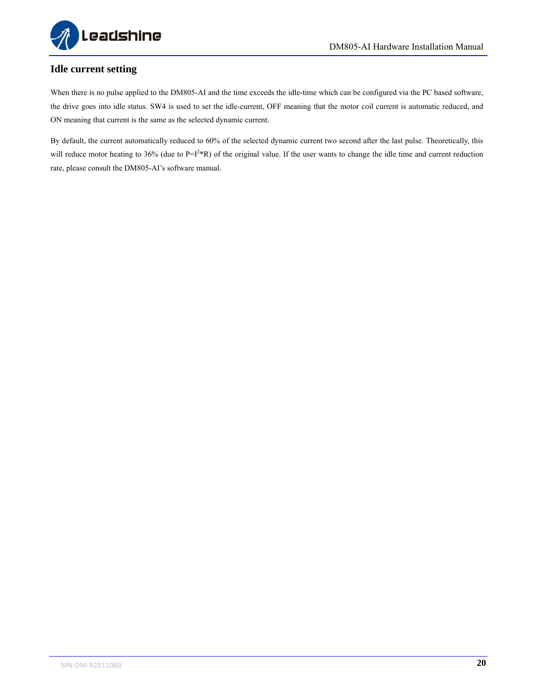

#### <span id="page-24-0"></span>**Idle current setting**

When there is no pulse applied to the DM805-AI and the time exceeds the idle-time which can be configured via the PC based software, the drive goes into idle status. SW4 is used to set the idle-current, OFF meaning that the motor coil current is automatic reduced, and ON meaning that current is the same as the selected dynamic current.

By default, the current automatically reduced to 60% of the selected dynamic current two second after the last pulse. Theoretically, this will reduce motor heating to 36% (due to  $P=I^2*R$ ) of the original value. If the user wants to change the idle time and current reduction rate, please consult the DM805-AI's software manual.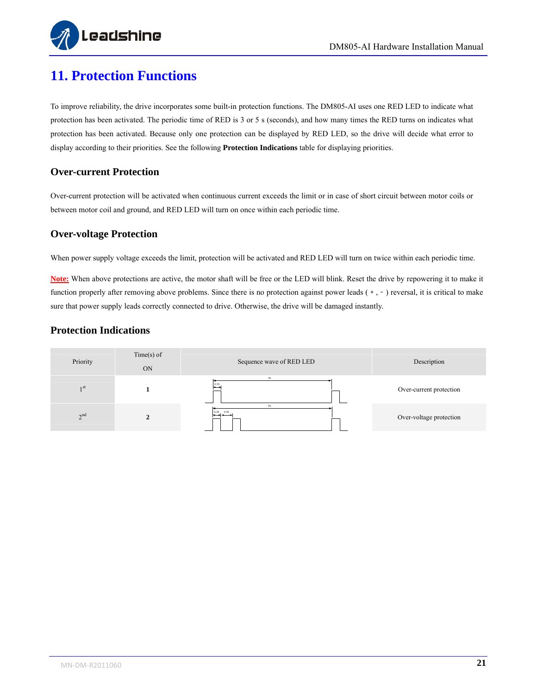

### <span id="page-25-0"></span>**11. Protection Functions**

To improve reliability, the drive incorporates some built-in protection functions. The DM805-AI uses one RED LED to indicate what protection has been activated. The periodic time of RED is 3 or 5 s (seconds), and how many times the RED turns on indicates what protection has been activated. Because only one protection can be displayed by RED LED, so the drive will decide what error to display according to their priorities. See the following **Protection Indications** table for displaying priorities.

#### <span id="page-25-1"></span>**Over-current Protection**

Over-current protection will be activated when continuous current exceeds the limit or in case of short circuit between motor coils or between motor coil and ground, and RED LED will turn on once within each periodic time.

#### <span id="page-25-2"></span>**Over-voltage Protection**

When power supply voltage exceeds the limit, protection will be activated and RED LED will turn on twice within each periodic time.

**Note:** When above protections are active, the motor shaft will be free or the LED will blink. Reset the drive by repowering it to make it function properly after removing above problems. Since there is no protection against power leads  $(+, -)$  reversal, it is critical to make sure that power supply leads correctly connected to drive. Otherwise, the drive will be damaged instantly.

#### **Protection Indications**

<span id="page-25-3"></span>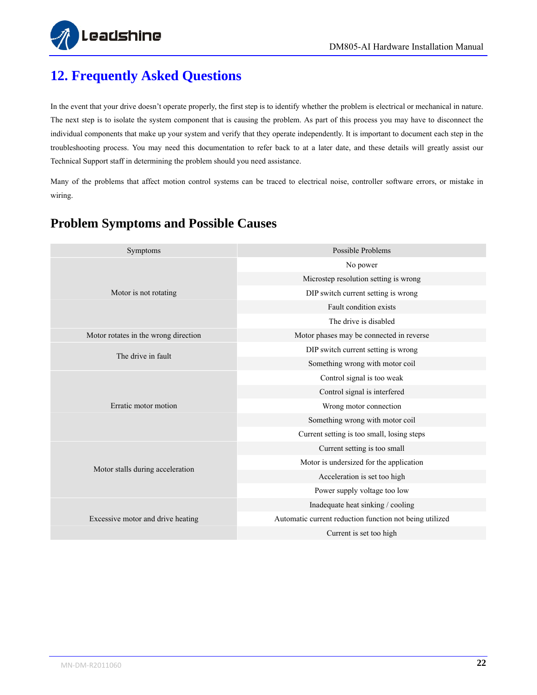

# <span id="page-26-0"></span>**12. Frequently Asked Questions**

In the event that your drive doesn't operate properly, the first step is to identify whether the problem is electrical or mechanical in nature. The next step is to isolate the system component that is causing the problem. As part of this process you may have to disconnect the individual components that make up your system and verify that they operate independently. It is important to document each step in the troubleshooting process. You may need this documentation to refer back to at a later date, and these details will greatly assist our Technical Support staff in determining the problem should you need assistance.

Many of the problems that affect motion control systems can be traced to electrical noise, controller software errors, or mistake in wiring.

| Symptoms                             | Possible Problems                                       |
|--------------------------------------|---------------------------------------------------------|
|                                      | No power                                                |
|                                      | Microstep resolution setting is wrong                   |
| Motor is not rotating                | DIP switch current setting is wrong                     |
|                                      | Fault condition exists                                  |
|                                      | The drive is disabled                                   |
| Motor rotates in the wrong direction | Motor phases may be connected in reverse                |
| The drive in fault                   | DIP switch current setting is wrong                     |
|                                      | Something wrong with motor coil                         |
|                                      | Control signal is too weak                              |
|                                      | Control signal is interfered                            |
| Erratic motor motion                 | Wrong motor connection                                  |
|                                      | Something wrong with motor coil                         |
|                                      | Current setting is too small, losing steps              |
|                                      | Current setting is too small                            |
| Motor stalls during acceleration     | Motor is undersized for the application                 |
|                                      | Acceleration is set too high                            |
|                                      | Power supply voltage too low                            |
|                                      | Inadequate heat sinking / cooling                       |
| Excessive motor and drive heating    | Automatic current reduction function not being utilized |
|                                      | Current is set too high                                 |

### <span id="page-26-1"></span>**Problem Symptoms and Possible Causes**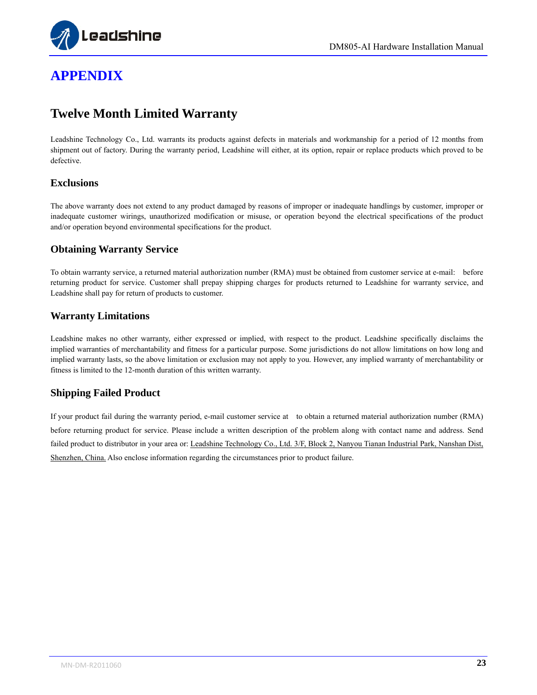

# <span id="page-27-0"></span>**APPENDIX**

#### <span id="page-27-1"></span>**Twelve Month Limited Warranty**

Leadshine Technology Co., Ltd. warrants its products against defects in materials and workmanship for a period of 12 months from shipment out of factory. During the warranty period, Leadshine will either, at its option, repair or replace products which proved to be defective.

#### <span id="page-27-2"></span>**Exclusions**

The above warranty does not extend to any product damaged by reasons of improper or inadequate handlings by customer, improper or inadequate customer wirings, unauthorized modification or misuse, or operation beyond the electrical specifications of the product and/or operation beyond environmental specifications for the product.

#### <span id="page-27-3"></span>**Obtaining Warranty Service**

To obtain warranty service, a returned material authorization number (RMA) must be obtained from customer service at e-mail: before returning product for service. Customer shall prepay shipping charges for products returned to Leadshine for warranty service, and Leadshine shall pay for return of products to customer.

#### <span id="page-27-4"></span>**Warranty Limitations**

Leadshine makes no other warranty, either expressed or implied, with respect to the product. Leadshine specifically disclaims the implied warranties of merchantability and fitness for a particular purpose. Some jurisdictions do not allow limitations on how long and implied warranty lasts, so the above limitation or exclusion may not apply to you. However, any implied warranty of merchantability or fitness is limited to the 12-month duration of this written warranty.

#### <span id="page-27-5"></span>**Shipping Failed Product**

If your product fail during the warranty period, e-mail customer service at to obtain a returned material authorization number (RMA) before returning product for service. Please include a written description of the problem along with contact name and address. Send failed product to distributor in your area or: Leadshine Technology Co., Ltd. 3/F, Block 2, Nanyou Tianan Industrial Park, Nanshan Dist, Shenzhen, China. Also enclose information regarding the circumstances prior to product failure.